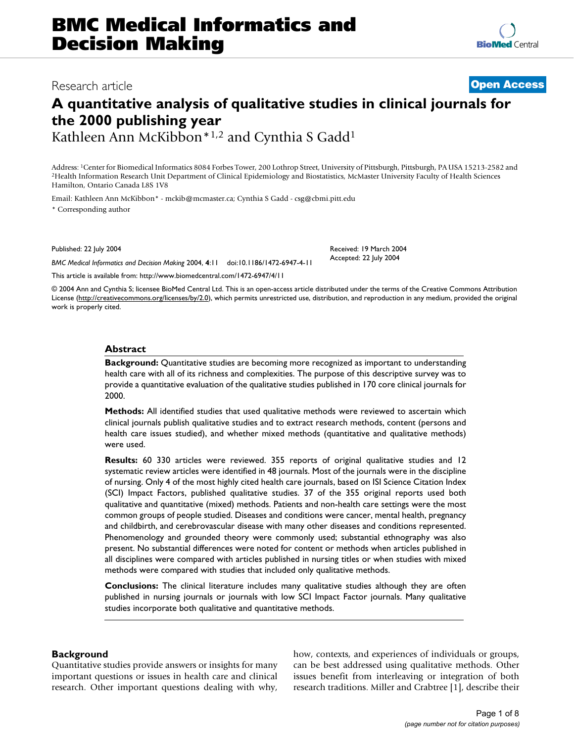# Research article **[Open Access](http://www.biomedcentral.com/info/about/charter/)**

**[BioMed](http://www.biomedcentral.com/)** Central

# **A quantitative analysis of qualitative studies in clinical journals for the 2000 publishing year**

Kathleen Ann McKibbon\*1,2 and Cynthia S Gadd1

Address: <sup>1</sup>Center for Biomedical Informatics 8084 Forbes Tower, 200 Lothrop Street, University of Pittsburgh, Pittsburgh, PA USA 15213-2582 and <sup>2</sup>Health Information Research Unit Department of Clinical Epidemiology and B Hamilton, Ontario Canada L8S 1V8

Email: Kathleen Ann McKibbon\* - mckib@mcmaster.ca; Cynthia S Gadd - csg@cbmi.pitt.edu

\* Corresponding author

Published: 22 July 2004

*BMC Medical Informatics and Decision Making* 2004, **4**:11 doi:10.1186/1472-6947-4-11

[This article is available from: http://www.biomedcentral.com/1472-6947/4/11](http://www.biomedcentral.com/1472-6947/4/11)

Received: 19 March 2004 Accepted: 22 July 2004

© 2004 Ann and Cynthia S; licensee BioMed Central Ltd. This is an open-access article distributed under the terms of the Creative Commons Attribution License (<http://creativecommons.org/licenses/by/2.0>), which permits unrestricted use, distribution, and reproduction in any medium, provided the original work is properly cited.

# **Abstract**

**Background:** Quantitative studies are becoming more recognized as important to understanding health care with all of its richness and complexities. The purpose of this descriptive survey was to provide a quantitative evaluation of the qualitative studies published in 170 core clinical journals for 2000.

**Methods:** All identified studies that used qualitative methods were reviewed to ascertain which clinical journals publish qualitative studies and to extract research methods, content (persons and health care issues studied), and whether mixed methods (quantitative and qualitative methods) were used.

**Results:** 60 330 articles were reviewed. 355 reports of original qualitative studies and 12 systematic review articles were identified in 48 journals. Most of the journals were in the discipline of nursing. Only 4 of the most highly cited health care journals, based on ISI Science Citation Index (SCI) Impact Factors, published qualitative studies. 37 of the 355 original reports used both qualitative and quantitative (mixed) methods. Patients and non-health care settings were the most common groups of people studied. Diseases and conditions were cancer, mental health, pregnancy and childbirth, and cerebrovascular disease with many other diseases and conditions represented. Phenomenology and grounded theory were commonly used; substantial ethnography was also present. No substantial differences were noted for content or methods when articles published in all disciplines were compared with articles published in nursing titles or when studies with mixed methods were compared with studies that included only qualitative methods.

**Conclusions:** The clinical literature includes many qualitative studies although they are often published in nursing journals or journals with low SCI Impact Factor journals. Many qualitative studies incorporate both qualitative and quantitative methods.

# **Background**

Quantitative studies provide answers or insights for many important questions or issues in health care and clinical research. Other important questions dealing with why, how, contexts, and experiences of individuals or groups, can be best addressed using qualitative methods. Other issues benefit from interleaving or integration of both research traditions. Miller and Crabtree [1], describe their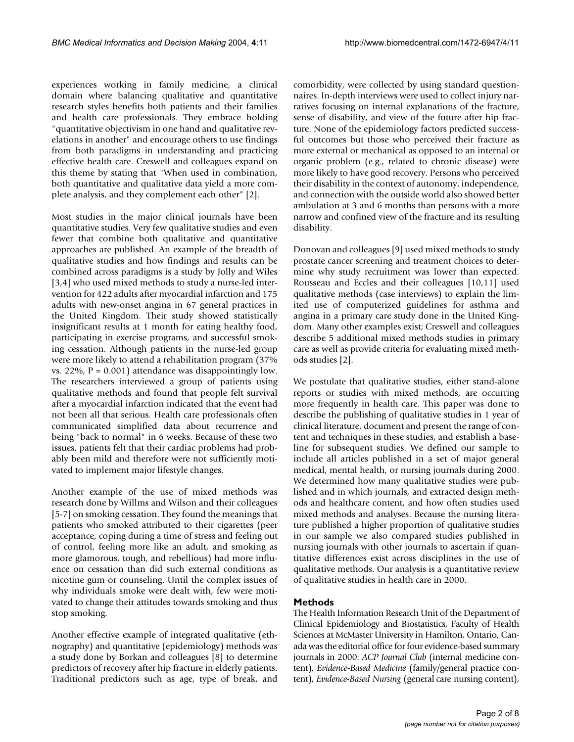experiences working in family medicine, a clinical domain where balancing qualitative and quantitative research styles benefits both patients and their families and health care professionals. They embrace holding "quantitative objectivism in one hand and qualitative revelations in another" and encourage others to use findings from both paradigms in understanding and practicing effective health care. Creswell and colleagues expand on this theme by stating that "When used in combination, both quantitative and qualitative data yield a more complete analysis, and they complement each other" [2].

Most studies in the major clinical journals have been quantitative studies. Very few qualitative studies and even fewer that combine both qualitative and quantitative approaches are published. An example of the breadth of qualitative studies and how findings and results can be combined across paradigms is a study by Jolly and Wiles [3,4] who used mixed methods to study a nurse-led intervention for 422 adults after myocardial infarction and 175 adults with new-onset angina in 67 general practices in the United Kingdom. Their study showed statistically insignificant results at 1 month for eating healthy food, participating in exercise programs, and successful smoking cessation. Although patients in the nurse-led group were more likely to attend a rehabilitation program (37% vs. 22%,  $P = 0.001$ ) attendance was disappointingly low. The researchers interviewed a group of patients using qualitative methods and found that people felt survival after a myocardial infarction indicated that the event had not been all that serious. Health care professionals often communicated simplified data about recurrence and being "back to normal" in 6 weeks. Because of these two issues, patients felt that their cardiac problems had probably been mild and therefore were not sufficiently motivated to implement major lifestyle changes.

Another example of the use of mixed methods was research done by Willms and Wilson and their colleagues [5-7] on smoking cessation. They found the meanings that patients who smoked attributed to their cigarettes (peer acceptance, coping during a time of stress and feeling out of control, feeling more like an adult, and smoking as more glamorous, tough, and rebellious) had more influence on cessation than did such external conditions as nicotine gum or counseling. Until the complex issues of why individuals smoke were dealt with, few were motivated to change their attitudes towards smoking and thus stop smoking.

Another effective example of integrated qualitative (ethnography) and quantitative (epidemiology) methods was a study done by Borkan and colleagues [8] to determine predictors of recovery after hip fracture in elderly patients. Traditional predictors such as age, type of break, and comorbidity, were collected by using standard questionnaires. In-depth interviews were used to collect injury narratives focusing on internal explanations of the fracture, sense of disability, and view of the future after hip fracture. None of the epidemiology factors predicted successful outcomes but those who perceived their fracture as more external or mechanical as opposed to an internal or organic problem (e.g., related to chronic disease) were more likely to have good recovery. Persons who perceived their disability in the context of autonomy, independence, and connection with the outside world also showed better ambulation at 3 and 6 months than persons with a more narrow and confined view of the fracture and its resulting disability.

Donovan and colleagues [9] used mixed methods to study prostate cancer screening and treatment choices to determine why study recruitment was lower than expected. Rousseau and Eccles and their colleagues [10,11] used qualitative methods (case interviews) to explain the limited use of computerized guidelines for asthma and angina in a primary care study done in the United Kingdom. Many other examples exist; Creswell and colleagues describe 5 additional mixed methods studies in primary care as well as provide criteria for evaluating mixed methods studies [2].

We postulate that qualitative studies, either stand-alone reports or studies with mixed methods, are occurring more frequently in health care. This paper was done to describe the publishing of qualitative studies in 1 year of clinical literature, document and present the range of content and techniques in these studies, and establish a baseline for subsequent studies. We defined our sample to include all articles published in a set of major general medical, mental health, or nursing journals during 2000. We determined how many qualitative studies were published and in which journals, and extracted design methods and healthcare content, and how often studies used mixed methods and analyses. Because the nursing literature published a higher proportion of qualitative studies in our sample we also compared studies published in nursing journals with other journals to ascertain if quantitative differences exist across disciplines in the use of qualitative methods. Our analysis is a quantitative review of qualitative studies in health care in 2000.

# **Methods**

The Health Information Research Unit of the Department of Clinical Epidemiology and Biostatistics, Faculty of Health Sciences at McMaster University in Hamilton, Ontario, Canada was the editorial office for four evidence-based summary journals in 2000: *ACP Journal Club* (internal medicine content), *Evidence-Based Medicine* (family/general practice content), *Evidence-Based Nursing* (general care nursing content),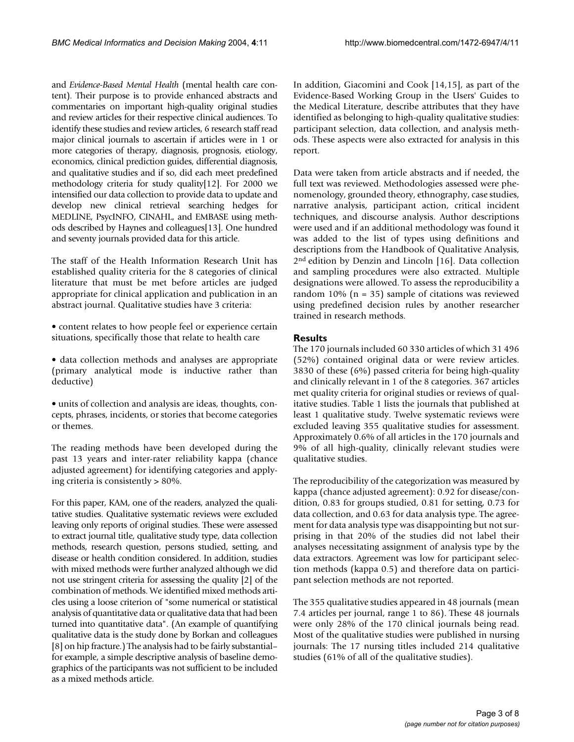and *Evidence-Based Mental Health* (mental health care content). Their purpose is to provide enhanced abstracts and commentaries on important high-quality original studies and review articles for their respective clinical audiences. To identify these studies and review articles, 6 research staff read major clinical journals to ascertain if articles were in 1 or more categories of therapy, diagnosis, prognosis, etiology, economics, clinical prediction guides, differential diagnosis, and qualitative studies and if so, did each meet predefined methodology criteria for study quality[12]. For 2000 we intensified our data collection to provide data to update and develop new clinical retrieval searching hedges for MEDLINE, PsycINFO, CINAHL, and EMBASE using methods described by Haynes and colleagues[13]. One hundred and seventy journals provided data for this article.

The staff of the Health Information Research Unit has established quality criteria for the 8 categories of clinical literature that must be met before articles are judged appropriate for clinical application and publication in an abstract journal. Qualitative studies have 3 criteria:

- content relates to how people feel or experience certain situations, specifically those that relate to health care
- data collection methods and analyses are appropriate (primary analytical mode is inductive rather than deductive)
- units of collection and analysis are ideas, thoughts, concepts, phrases, incidents, or stories that become categories or themes.

The reading methods have been developed during the past 13 years and inter-rater reliability kappa (chance adjusted agreement) for identifying categories and applying criteria is consistently > 80%.

For this paper, KAM, one of the readers, analyzed the qualitative studies. Qualitative systematic reviews were excluded leaving only reports of original studies. These were assessed to extract journal title, qualitative study type, data collection methods, research question, persons studied, setting, and disease or health condition considered. In addition, studies with mixed methods were further analyzed although we did not use stringent criteria for assessing the quality [2] of the combination of methods. We identified mixed methods articles using a loose criterion of "some numerical or statistical analysis of quantitative data or qualitative data that had been turned into quantitative data". (An example of quantifying qualitative data is the study done by Borkan and colleagues [8] on hip fracture.) The analysis had to be fairly substantial– for example, a simple descriptive analysis of baseline demographics of the participants was not sufficient to be included as a mixed methods article.

In addition, Giacomini and Cook [14,15], as part of the Evidence-Based Working Group in the Users' Guides to the Medical Literature, describe attributes that they have identified as belonging to high-quality qualitative studies: participant selection, data collection, and analysis methods. These aspects were also extracted for analysis in this report.

Data were taken from article abstracts and if needed, the full text was reviewed. Methodologies assessed were phenomenology, grounded theory, ethnography, case studies, narrative analysis, participant action, critical incident techniques, and discourse analysis. Author descriptions were used and if an additional methodology was found it was added to the list of types using definitions and descriptions from the Handbook of Qualitative Analysis, 2<sup>nd</sup> edition by Denzin and Lincoln [16]. Data collection and sampling procedures were also extracted. Multiple designations were allowed. To assess the reproducibility a random  $10\%$  (n = 35) sample of citations was reviewed using predefined decision rules by another researcher trained in research methods.

# **Results**

The 170 journals included 60 330 articles of which 31 496 (52%) contained original data or were review articles. 3830 of these (6%) passed criteria for being high-quality and clinically relevant in 1 of the 8 categories. 367 articles met quality criteria for original studies or reviews of qualitative studies. Table [1](#page-3-0) lists the journals that published at least 1 qualitative study. Twelve systematic reviews were excluded leaving 355 qualitative studies for assessment. Approximately 0.6% of all articles in the 170 journals and 9% of all high-quality, clinically relevant studies were qualitative studies.

The reproducibility of the categorization was measured by kappa (chance adjusted agreement): 0.92 for disease/condition, 0.83 for groups studied, 0.81 for setting, 0.73 for data collection, and 0.63 for data analysis type. The agreement for data analysis type was disappointing but not surprising in that 20% of the studies did not label their analyses necessitating assignment of analysis type by the data extractors. Agreement was low for participant selection methods (kappa 0.5) and therefore data on participant selection methods are not reported.

The 355 qualitative studies appeared in 48 journals (mean 7.4 articles per journal, range 1 to 86). These 48 journals were only 28% of the 170 clinical journals being read. Most of the qualitative studies were published in nursing journals: The 17 nursing titles included 214 qualitative studies (61% of all of the qualitative studies).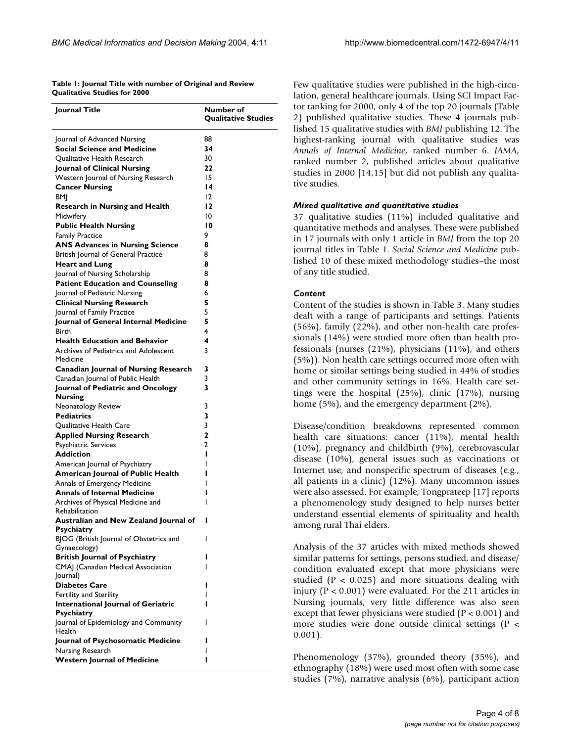<span id="page-3-0"></span>**Table 1: Journal Title with number of Original and Review Qualitative Studies for 2000**

| Journal of Advanced Nursing<br>88<br><b>Social Science and Medicine</b><br>34<br>30<br><b>Oualitative Health Research</b><br>Journal of Clinical Nursing<br>22<br>Western Journal of Nursing Research<br>15<br><b>Cancer Nursing</b><br>14<br>$\overline{2}$<br>BMJ<br>12<br><b>Research in Nursing and Health</b><br>Midwifery<br>10<br><b>Public Health Nursing</b><br>10<br><b>Family Practice</b><br>9<br><b>ANS Advances in Nursing Science</b><br>8<br>British Journal of General Practice<br>8<br>8<br><b>Heart and Lung</b><br>Journal of Nursing Scholarship<br>8<br><b>Patient Education and Counseling</b><br>8<br>Journal of Pediatric Nursing<br>6<br>5<br><b>Clinical Nursing Research</b><br>5<br>Journal of Family Practice<br>Journal of General Internal Medicine<br>5<br>4<br><b>Birth</b><br>4<br><b>Health Education and Behavior</b><br>Archives of Pediatrics and Adolescent<br>3<br>Medicine<br><b>Canadian Journal of Nursing Research</b><br>3<br>Canadian Journal of Public Health<br>3<br>3<br>Journal of Pediatric and Oncology<br><b>Nursing</b><br>Neonatology Review<br>3<br>3<br><b>Pediatrics</b><br>3<br>Qualitative Health Care<br><b>Applied Nursing Research</b><br>2<br><b>Psychiatric Services</b><br>2<br><b>Addiction</b><br>ı<br>American Journal of Psychiatry<br><b>American Journal of Public Health</b><br>Annals of Emergency Medicine<br>ı<br><b>Annals of Internal Medicine</b><br>ı<br>Archives of Physical Medicine and<br>ı<br>Rehabilitation<br>Australian and New Zealand Iournal of<br><b>Psychiatry</b><br>BJOG (British Journal of Obstetrics and<br>ı<br>Gynaecology)<br><b>British Journal of Psychiatry</b><br>ı<br>CMAJ (Canadian Medical Association<br>ı<br>Journal)<br><b>Diabetes Care</b><br>ı<br><b>Fertility and Sterility</b><br>ı<br><b>International Journal of Geriatric</b><br>ı<br><b>Psychiatry</b><br>Journal of Epidemiology and Community<br>I<br>Health<br>Journal of Psychosomatic Medicine<br>ı<br>Nursing Research<br>ı<br><b>Western Journal of Medicine</b><br>ı | Journal Title | Number of<br><b>Qualitative Studies</b> |
|-------------------------------------------------------------------------------------------------------------------------------------------------------------------------------------------------------------------------------------------------------------------------------------------------------------------------------------------------------------------------------------------------------------------------------------------------------------------------------------------------------------------------------------------------------------------------------------------------------------------------------------------------------------------------------------------------------------------------------------------------------------------------------------------------------------------------------------------------------------------------------------------------------------------------------------------------------------------------------------------------------------------------------------------------------------------------------------------------------------------------------------------------------------------------------------------------------------------------------------------------------------------------------------------------------------------------------------------------------------------------------------------------------------------------------------------------------------------------------------------------------------------------------------------------------------------------------------------------------------------------------------------------------------------------------------------------------------------------------------------------------------------------------------------------------------------------------------------------------------------------------------------------------------------------------------------------------------------------------------------------------------------------------------------------------|---------------|-----------------------------------------|
|                                                                                                                                                                                                                                                                                                                                                                                                                                                                                                                                                                                                                                                                                                                                                                                                                                                                                                                                                                                                                                                                                                                                                                                                                                                                                                                                                                                                                                                                                                                                                                                                                                                                                                                                                                                                                                                                                                                                                                                                                                                       |               |                                         |
|                                                                                                                                                                                                                                                                                                                                                                                                                                                                                                                                                                                                                                                                                                                                                                                                                                                                                                                                                                                                                                                                                                                                                                                                                                                                                                                                                                                                                                                                                                                                                                                                                                                                                                                                                                                                                                                                                                                                                                                                                                                       |               |                                         |
|                                                                                                                                                                                                                                                                                                                                                                                                                                                                                                                                                                                                                                                                                                                                                                                                                                                                                                                                                                                                                                                                                                                                                                                                                                                                                                                                                                                                                                                                                                                                                                                                                                                                                                                                                                                                                                                                                                                                                                                                                                                       |               |                                         |
|                                                                                                                                                                                                                                                                                                                                                                                                                                                                                                                                                                                                                                                                                                                                                                                                                                                                                                                                                                                                                                                                                                                                                                                                                                                                                                                                                                                                                                                                                                                                                                                                                                                                                                                                                                                                                                                                                                                                                                                                                                                       |               |                                         |
|                                                                                                                                                                                                                                                                                                                                                                                                                                                                                                                                                                                                                                                                                                                                                                                                                                                                                                                                                                                                                                                                                                                                                                                                                                                                                                                                                                                                                                                                                                                                                                                                                                                                                                                                                                                                                                                                                                                                                                                                                                                       |               |                                         |
|                                                                                                                                                                                                                                                                                                                                                                                                                                                                                                                                                                                                                                                                                                                                                                                                                                                                                                                                                                                                                                                                                                                                                                                                                                                                                                                                                                                                                                                                                                                                                                                                                                                                                                                                                                                                                                                                                                                                                                                                                                                       |               |                                         |
|                                                                                                                                                                                                                                                                                                                                                                                                                                                                                                                                                                                                                                                                                                                                                                                                                                                                                                                                                                                                                                                                                                                                                                                                                                                                                                                                                                                                                                                                                                                                                                                                                                                                                                                                                                                                                                                                                                                                                                                                                                                       |               |                                         |
|                                                                                                                                                                                                                                                                                                                                                                                                                                                                                                                                                                                                                                                                                                                                                                                                                                                                                                                                                                                                                                                                                                                                                                                                                                                                                                                                                                                                                                                                                                                                                                                                                                                                                                                                                                                                                                                                                                                                                                                                                                                       |               |                                         |
|                                                                                                                                                                                                                                                                                                                                                                                                                                                                                                                                                                                                                                                                                                                                                                                                                                                                                                                                                                                                                                                                                                                                                                                                                                                                                                                                                                                                                                                                                                                                                                                                                                                                                                                                                                                                                                                                                                                                                                                                                                                       |               |                                         |
|                                                                                                                                                                                                                                                                                                                                                                                                                                                                                                                                                                                                                                                                                                                                                                                                                                                                                                                                                                                                                                                                                                                                                                                                                                                                                                                                                                                                                                                                                                                                                                                                                                                                                                                                                                                                                                                                                                                                                                                                                                                       |               |                                         |
|                                                                                                                                                                                                                                                                                                                                                                                                                                                                                                                                                                                                                                                                                                                                                                                                                                                                                                                                                                                                                                                                                                                                                                                                                                                                                                                                                                                                                                                                                                                                                                                                                                                                                                                                                                                                                                                                                                                                                                                                                                                       |               |                                         |
|                                                                                                                                                                                                                                                                                                                                                                                                                                                                                                                                                                                                                                                                                                                                                                                                                                                                                                                                                                                                                                                                                                                                                                                                                                                                                                                                                                                                                                                                                                                                                                                                                                                                                                                                                                                                                                                                                                                                                                                                                                                       |               |                                         |
|                                                                                                                                                                                                                                                                                                                                                                                                                                                                                                                                                                                                                                                                                                                                                                                                                                                                                                                                                                                                                                                                                                                                                                                                                                                                                                                                                                                                                                                                                                                                                                                                                                                                                                                                                                                                                                                                                                                                                                                                                                                       |               |                                         |
|                                                                                                                                                                                                                                                                                                                                                                                                                                                                                                                                                                                                                                                                                                                                                                                                                                                                                                                                                                                                                                                                                                                                                                                                                                                                                                                                                                                                                                                                                                                                                                                                                                                                                                                                                                                                                                                                                                                                                                                                                                                       |               |                                         |
|                                                                                                                                                                                                                                                                                                                                                                                                                                                                                                                                                                                                                                                                                                                                                                                                                                                                                                                                                                                                                                                                                                                                                                                                                                                                                                                                                                                                                                                                                                                                                                                                                                                                                                                                                                                                                                                                                                                                                                                                                                                       |               |                                         |
|                                                                                                                                                                                                                                                                                                                                                                                                                                                                                                                                                                                                                                                                                                                                                                                                                                                                                                                                                                                                                                                                                                                                                                                                                                                                                                                                                                                                                                                                                                                                                                                                                                                                                                                                                                                                                                                                                                                                                                                                                                                       |               |                                         |
|                                                                                                                                                                                                                                                                                                                                                                                                                                                                                                                                                                                                                                                                                                                                                                                                                                                                                                                                                                                                                                                                                                                                                                                                                                                                                                                                                                                                                                                                                                                                                                                                                                                                                                                                                                                                                                                                                                                                                                                                                                                       |               |                                         |
|                                                                                                                                                                                                                                                                                                                                                                                                                                                                                                                                                                                                                                                                                                                                                                                                                                                                                                                                                                                                                                                                                                                                                                                                                                                                                                                                                                                                                                                                                                                                                                                                                                                                                                                                                                                                                                                                                                                                                                                                                                                       |               |                                         |
|                                                                                                                                                                                                                                                                                                                                                                                                                                                                                                                                                                                                                                                                                                                                                                                                                                                                                                                                                                                                                                                                                                                                                                                                                                                                                                                                                                                                                                                                                                                                                                                                                                                                                                                                                                                                                                                                                                                                                                                                                                                       |               |                                         |
|                                                                                                                                                                                                                                                                                                                                                                                                                                                                                                                                                                                                                                                                                                                                                                                                                                                                                                                                                                                                                                                                                                                                                                                                                                                                                                                                                                                                                                                                                                                                                                                                                                                                                                                                                                                                                                                                                                                                                                                                                                                       |               |                                         |
|                                                                                                                                                                                                                                                                                                                                                                                                                                                                                                                                                                                                                                                                                                                                                                                                                                                                                                                                                                                                                                                                                                                                                                                                                                                                                                                                                                                                                                                                                                                                                                                                                                                                                                                                                                                                                                                                                                                                                                                                                                                       |               |                                         |
|                                                                                                                                                                                                                                                                                                                                                                                                                                                                                                                                                                                                                                                                                                                                                                                                                                                                                                                                                                                                                                                                                                                                                                                                                                                                                                                                                                                                                                                                                                                                                                                                                                                                                                                                                                                                                                                                                                                                                                                                                                                       |               |                                         |
|                                                                                                                                                                                                                                                                                                                                                                                                                                                                                                                                                                                                                                                                                                                                                                                                                                                                                                                                                                                                                                                                                                                                                                                                                                                                                                                                                                                                                                                                                                                                                                                                                                                                                                                                                                                                                                                                                                                                                                                                                                                       |               |                                         |
|                                                                                                                                                                                                                                                                                                                                                                                                                                                                                                                                                                                                                                                                                                                                                                                                                                                                                                                                                                                                                                                                                                                                                                                                                                                                                                                                                                                                                                                                                                                                                                                                                                                                                                                                                                                                                                                                                                                                                                                                                                                       |               |                                         |
|                                                                                                                                                                                                                                                                                                                                                                                                                                                                                                                                                                                                                                                                                                                                                                                                                                                                                                                                                                                                                                                                                                                                                                                                                                                                                                                                                                                                                                                                                                                                                                                                                                                                                                                                                                                                                                                                                                                                                                                                                                                       |               |                                         |
|                                                                                                                                                                                                                                                                                                                                                                                                                                                                                                                                                                                                                                                                                                                                                                                                                                                                                                                                                                                                                                                                                                                                                                                                                                                                                                                                                                                                                                                                                                                                                                                                                                                                                                                                                                                                                                                                                                                                                                                                                                                       |               |                                         |
|                                                                                                                                                                                                                                                                                                                                                                                                                                                                                                                                                                                                                                                                                                                                                                                                                                                                                                                                                                                                                                                                                                                                                                                                                                                                                                                                                                                                                                                                                                                                                                                                                                                                                                                                                                                                                                                                                                                                                                                                                                                       |               |                                         |
|                                                                                                                                                                                                                                                                                                                                                                                                                                                                                                                                                                                                                                                                                                                                                                                                                                                                                                                                                                                                                                                                                                                                                                                                                                                                                                                                                                                                                                                                                                                                                                                                                                                                                                                                                                                                                                                                                                                                                                                                                                                       |               |                                         |
|                                                                                                                                                                                                                                                                                                                                                                                                                                                                                                                                                                                                                                                                                                                                                                                                                                                                                                                                                                                                                                                                                                                                                                                                                                                                                                                                                                                                                                                                                                                                                                                                                                                                                                                                                                                                                                                                                                                                                                                                                                                       |               |                                         |
|                                                                                                                                                                                                                                                                                                                                                                                                                                                                                                                                                                                                                                                                                                                                                                                                                                                                                                                                                                                                                                                                                                                                                                                                                                                                                                                                                                                                                                                                                                                                                                                                                                                                                                                                                                                                                                                                                                                                                                                                                                                       |               |                                         |
|                                                                                                                                                                                                                                                                                                                                                                                                                                                                                                                                                                                                                                                                                                                                                                                                                                                                                                                                                                                                                                                                                                                                                                                                                                                                                                                                                                                                                                                                                                                                                                                                                                                                                                                                                                                                                                                                                                                                                                                                                                                       |               |                                         |
|                                                                                                                                                                                                                                                                                                                                                                                                                                                                                                                                                                                                                                                                                                                                                                                                                                                                                                                                                                                                                                                                                                                                                                                                                                                                                                                                                                                                                                                                                                                                                                                                                                                                                                                                                                                                                                                                                                                                                                                                                                                       |               |                                         |
|                                                                                                                                                                                                                                                                                                                                                                                                                                                                                                                                                                                                                                                                                                                                                                                                                                                                                                                                                                                                                                                                                                                                                                                                                                                                                                                                                                                                                                                                                                                                                                                                                                                                                                                                                                                                                                                                                                                                                                                                                                                       |               |                                         |
|                                                                                                                                                                                                                                                                                                                                                                                                                                                                                                                                                                                                                                                                                                                                                                                                                                                                                                                                                                                                                                                                                                                                                                                                                                                                                                                                                                                                                                                                                                                                                                                                                                                                                                                                                                                                                                                                                                                                                                                                                                                       |               |                                         |
|                                                                                                                                                                                                                                                                                                                                                                                                                                                                                                                                                                                                                                                                                                                                                                                                                                                                                                                                                                                                                                                                                                                                                                                                                                                                                                                                                                                                                                                                                                                                                                                                                                                                                                                                                                                                                                                                                                                                                                                                                                                       |               |                                         |
|                                                                                                                                                                                                                                                                                                                                                                                                                                                                                                                                                                                                                                                                                                                                                                                                                                                                                                                                                                                                                                                                                                                                                                                                                                                                                                                                                                                                                                                                                                                                                                                                                                                                                                                                                                                                                                                                                                                                                                                                                                                       |               |                                         |
|                                                                                                                                                                                                                                                                                                                                                                                                                                                                                                                                                                                                                                                                                                                                                                                                                                                                                                                                                                                                                                                                                                                                                                                                                                                                                                                                                                                                                                                                                                                                                                                                                                                                                                                                                                                                                                                                                                                                                                                                                                                       |               |                                         |
|                                                                                                                                                                                                                                                                                                                                                                                                                                                                                                                                                                                                                                                                                                                                                                                                                                                                                                                                                                                                                                                                                                                                                                                                                                                                                                                                                                                                                                                                                                                                                                                                                                                                                                                                                                                                                                                                                                                                                                                                                                                       |               |                                         |
|                                                                                                                                                                                                                                                                                                                                                                                                                                                                                                                                                                                                                                                                                                                                                                                                                                                                                                                                                                                                                                                                                                                                                                                                                                                                                                                                                                                                                                                                                                                                                                                                                                                                                                                                                                                                                                                                                                                                                                                                                                                       |               |                                         |
|                                                                                                                                                                                                                                                                                                                                                                                                                                                                                                                                                                                                                                                                                                                                                                                                                                                                                                                                                                                                                                                                                                                                                                                                                                                                                                                                                                                                                                                                                                                                                                                                                                                                                                                                                                                                                                                                                                                                                                                                                                                       |               |                                         |
|                                                                                                                                                                                                                                                                                                                                                                                                                                                                                                                                                                                                                                                                                                                                                                                                                                                                                                                                                                                                                                                                                                                                                                                                                                                                                                                                                                                                                                                                                                                                                                                                                                                                                                                                                                                                                                                                                                                                                                                                                                                       |               |                                         |
|                                                                                                                                                                                                                                                                                                                                                                                                                                                                                                                                                                                                                                                                                                                                                                                                                                                                                                                                                                                                                                                                                                                                                                                                                                                                                                                                                                                                                                                                                                                                                                                                                                                                                                                                                                                                                                                                                                                                                                                                                                                       |               |                                         |
|                                                                                                                                                                                                                                                                                                                                                                                                                                                                                                                                                                                                                                                                                                                                                                                                                                                                                                                                                                                                                                                                                                                                                                                                                                                                                                                                                                                                                                                                                                                                                                                                                                                                                                                                                                                                                                                                                                                                                                                                                                                       |               |                                         |
|                                                                                                                                                                                                                                                                                                                                                                                                                                                                                                                                                                                                                                                                                                                                                                                                                                                                                                                                                                                                                                                                                                                                                                                                                                                                                                                                                                                                                                                                                                                                                                                                                                                                                                                                                                                                                                                                                                                                                                                                                                                       |               |                                         |
|                                                                                                                                                                                                                                                                                                                                                                                                                                                                                                                                                                                                                                                                                                                                                                                                                                                                                                                                                                                                                                                                                                                                                                                                                                                                                                                                                                                                                                                                                                                                                                                                                                                                                                                                                                                                                                                                                                                                                                                                                                                       |               |                                         |
|                                                                                                                                                                                                                                                                                                                                                                                                                                                                                                                                                                                                                                                                                                                                                                                                                                                                                                                                                                                                                                                                                                                                                                                                                                                                                                                                                                                                                                                                                                                                                                                                                                                                                                                                                                                                                                                                                                                                                                                                                                                       |               |                                         |
|                                                                                                                                                                                                                                                                                                                                                                                                                                                                                                                                                                                                                                                                                                                                                                                                                                                                                                                                                                                                                                                                                                                                                                                                                                                                                                                                                                                                                                                                                                                                                                                                                                                                                                                                                                                                                                                                                                                                                                                                                                                       |               |                                         |
|                                                                                                                                                                                                                                                                                                                                                                                                                                                                                                                                                                                                                                                                                                                                                                                                                                                                                                                                                                                                                                                                                                                                                                                                                                                                                                                                                                                                                                                                                                                                                                                                                                                                                                                                                                                                                                                                                                                                                                                                                                                       |               |                                         |
|                                                                                                                                                                                                                                                                                                                                                                                                                                                                                                                                                                                                                                                                                                                                                                                                                                                                                                                                                                                                                                                                                                                                                                                                                                                                                                                                                                                                                                                                                                                                                                                                                                                                                                                                                                                                                                                                                                                                                                                                                                                       |               |                                         |
|                                                                                                                                                                                                                                                                                                                                                                                                                                                                                                                                                                                                                                                                                                                                                                                                                                                                                                                                                                                                                                                                                                                                                                                                                                                                                                                                                                                                                                                                                                                                                                                                                                                                                                                                                                                                                                                                                                                                                                                                                                                       |               |                                         |
|                                                                                                                                                                                                                                                                                                                                                                                                                                                                                                                                                                                                                                                                                                                                                                                                                                                                                                                                                                                                                                                                                                                                                                                                                                                                                                                                                                                                                                                                                                                                                                                                                                                                                                                                                                                                                                                                                                                                                                                                                                                       |               |                                         |
|                                                                                                                                                                                                                                                                                                                                                                                                                                                                                                                                                                                                                                                                                                                                                                                                                                                                                                                                                                                                                                                                                                                                                                                                                                                                                                                                                                                                                                                                                                                                                                                                                                                                                                                                                                                                                                                                                                                                                                                                                                                       |               |                                         |

Few qualitative studies were published in the high-circulation, general healthcare journals. Using SCI Impact Factor ranking for 2000, only 4 of the top 20 journals (Table 2) published qualitative studies. These 4 journals published 15 qualitative studies with *BMJ* publishing 12. The highest-ranking journal with qualitative studies was *Annals of Internal Medicine*, ranked number 6. *JAMA*, ranked number 2, published articles about qualitative studies in 2000 [14,15] but did not publish any qualitative studies.

# *Mixed qualitative and quantitative studies*

37 qualitative studies (11%) included qualitative and quantitative methods and analyses. These were published in 17 journals with only 1 article in *BMJ* from the top 20 journal titles in Table [1](#page-3-0). *Social Science and Medicine* published 10 of these mixed methodology studies–the most of any title studied.

# *Content*

Content of the studies is shown in Table [3.](#page-5-0) Many studies dealt with a range of participants and settings. Patients (56%), family (22%), and other non-health care professionals (14%) were studied more often than health professionals (nurses (21%), physicians (11%), and others (5%)). Non health care settings occurred more often with home or similar settings being studied in 44% of studies and other community settings in 16%. Health care settings were the hospital (25%), clinic (17%), nursing home (5%), and the emergency department (2%).

Disease/condition breakdowns represented common health care situations: cancer (11%), mental health (10%), pregnancy and childbirth (9%), cerebrovascular disease (10%), general issues such as vaccinations or Internet use, and nonspecific spectrum of diseases (e.g., all patients in a clinic) (12%). Many uncommon issues were also assessed. For example, Tongprateep [17] reports a phenomenology study designed to help nurses better understand essential elements of spirituality and health among rural Thai elders.

Analysis of the 37 articles with mixed methods showed similar patterns for settings, persons studied, and disease/ condition evaluated except that more physicians were studied ( $P < 0.025$ ) and more situations dealing with injury ( $P < 0.001$ ) were evaluated. For the 211 articles in Nursing journals, very little difference was also seen except that fewer physicians were studied (P < 0.001) and more studies were done outside clinical settings (P < 0.001).

Phenomenology (37%), grounded theory (35%), and ethnography (18%) were used most often with some case studies (7%), narrative analysis (6%), participant action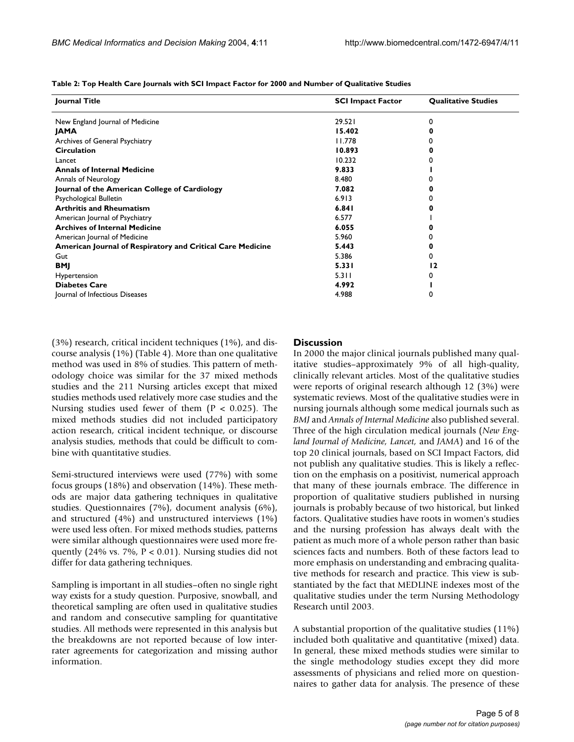| Journal Title                                              | <b>SCI Impact Factor</b> | <b>Qualitative Studies</b> |
|------------------------------------------------------------|--------------------------|----------------------------|
| New England Journal of Medicine                            | 29.521                   | 0                          |
| <b>JAMA</b>                                                | 15.402                   |                            |
| Archives of General Psychiatry                             | 11.778                   |                            |
| <b>Circulation</b>                                         | 10.893                   |                            |
| Lancet                                                     | 10.232                   |                            |
| <b>Annals of Internal Medicine</b>                         | 9.833                    |                            |
| <b>Annals of Neurology</b>                                 | 8.480                    |                            |
| Journal of the American College of Cardiology              | 7.082                    |                            |
| Psychological Bulletin                                     | 6.913                    |                            |
| <b>Arthritis and Rheumatism</b>                            | 6.841                    |                            |
| American Journal of Psychiatry                             | 6.577                    |                            |
| <b>Archives of Internal Medicine</b>                       | 6.055                    |                            |
| American Journal of Medicine                               | 5.960                    |                            |
| American Journal of Respiratory and Critical Care Medicine | 5.443                    |                            |
| Gut                                                        | 5.386                    |                            |
| <b>BMJ</b>                                                 | 5.331                    | 12                         |
| Hypertension                                               | 5.311                    |                            |
| <b>Diabetes Care</b>                                       | 4.992                    |                            |
| Journal of Infectious Diseases                             | 4.988                    | 0                          |

**Table 2: Top Health Care Journals with SCI Impact Factor for 2000 and Number of Qualitative Studies**

(3%) research, critical incident techniques (1%), and discourse analysis (1%) (Table 4). More than one qualitative method was used in 8% of studies. This pattern of methodology choice was similar for the 37 mixed methods studies and the 211 Nursing articles except that mixed studies methods used relatively more case studies and the Nursing studies used fewer of them ( $P < 0.025$ ). The mixed methods studies did not included participatory action research, critical incident technique, or discourse analysis studies, methods that could be difficult to combine with quantitative studies.

Semi-structured interviews were used (77%) with some focus groups (18%) and observation (14%). These methods are major data gathering techniques in qualitative studies. Questionnaires (7%), document analysis (6%), and structured (4%) and unstructured interviews (1%) were used less often. For mixed methods studies, patterns were similar although questionnaires were used more frequently (24% vs. 7%, P < 0.01). Nursing studies did not differ for data gathering techniques.

Sampling is important in all studies–often no single right way exists for a study question. Purposive, snowball, and theoretical sampling are often used in qualitative studies and random and consecutive sampling for quantitative studies. All methods were represented in this analysis but the breakdowns are not reported because of low interrater agreements for categorization and missing author information.

# **Discussion**

In 2000 the major clinical journals published many qualitative studies–approximately 9% of all high-quality, clinically relevant articles. Most of the qualitative studies were reports of original research although 12 (3%) were systematic reviews. Most of the qualitative studies were in nursing journals although some medical journals such as *BMJ* and *Annals of Internal Medicine* also published several. Three of the high circulation medical journals (*New England Journal of Medicine, Lancet,* and *JAMA*) and 16 of the top 20 clinical journals, based on SCI Impact Factors, did not publish any qualitative studies. This is likely a reflection on the emphasis on a positivist, numerical approach that many of these journals embrace. The difference in proportion of qualitative studiers published in nursing journals is probably because of two historical, but linked factors. Qualitative studies have roots in women's studies and the nursing profession has always dealt with the patient as much more of a whole person rather than basic sciences facts and numbers. Both of these factors lead to more emphasis on understanding and embracing qualitative methods for research and practice. This view is substantiated by the fact that MEDLINE indexes most of the qualitative studies under the term Nursing Methodology Research until 2003.

A substantial proportion of the qualitative studies (11%) included both qualitative and quantitative (mixed) data. In general, these mixed methods studies were similar to the single methodology studies except they did more assessments of physicians and relied more on questionnaires to gather data for analysis. The presence of these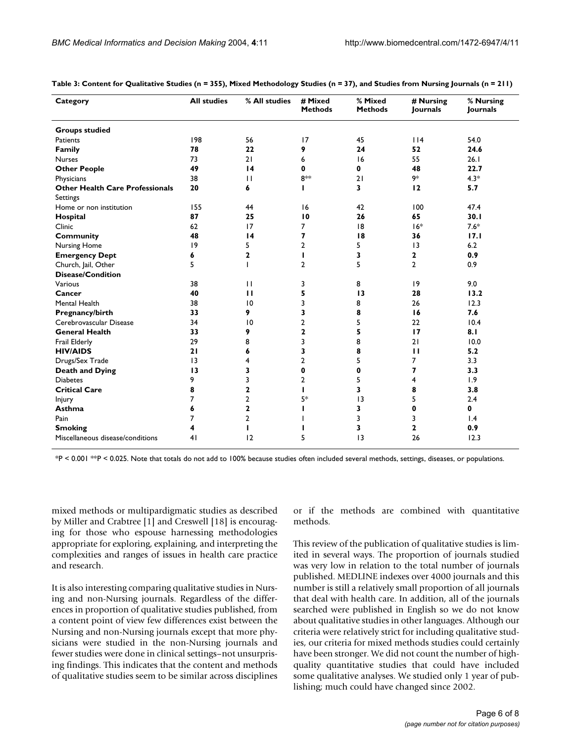| Category                                           | <b>All studies</b> | % All studies   | # Mixed<br><b>Methods</b> | % Mixed<br><b>Methods</b> | # Nursing<br>Journals | % Nursing<br>Journals |
|----------------------------------------------------|--------------------|-----------------|---------------------------|---------------------------|-----------------------|-----------------------|
| <b>Groups studied</b>                              |                    |                 |                           |                           |                       |                       |
| Patients                                           | 198                | 56              | 17                        | 45                        | 114                   | 54.0                  |
| Family                                             | 78                 | 22              | 9                         | 24                        | 52                    | 24.6                  |
| <b>Nurses</b>                                      | 73                 | 21              | 6                         | 16                        | 55                    | 26.1                  |
| <b>Other People</b>                                | 49                 | $\overline{14}$ | $\mathbf 0$               | $\mathbf 0$               | 48                    | 22.7                  |
| Physicians                                         | 38                 | $\mathbf{H}$    | 8**                       | 21                        | 9*                    | $4.3*$                |
| <b>Other Health Care Professionals</b><br>Settings | 20                 | 6               |                           | 3                         | 12                    | 5.7                   |
| Home or non institution                            | 155                | 44              | 16                        | 42                        | 100                   | 47.4                  |
| Hospital                                           | 87                 | 25              | 10                        | 26                        | 65                    | 30.1                  |
| Clinic                                             | 62                 | 17              | $\overline{7}$            | 18                        | $16*$                 | $7.6*$                |
| <b>Community</b>                                   | 48                 | $\overline{14}$ | 7                         | 18                        | 36                    | 17.1                  |
| <b>Nursing Home</b>                                | 9                  | 5               | $\overline{2}$            | 5                         | $\overline{13}$       | 6.2                   |
| <b>Emergency Dept</b>                              | 6                  | $\overline{2}$  | T                         | 3                         | $\mathbf{2}$          | 0.9                   |
| Church, Jail, Other                                | 5                  | L               | $\overline{2}$            | 5                         | $\overline{2}$        | 0.9                   |
| <b>Disease/Condition</b>                           |                    |                 |                           |                           |                       |                       |
| Various                                            | 38                 | $\mathbf{H}$    | 3                         | 8                         | 9                     | 9.0                   |
| Cancer                                             | 40                 | $\mathbf{H}$    | 5                         | 13                        | 28                    | 13.2                  |
| Mental Health                                      | 38                 | 10              | 3                         | 8                         | 26                    | 12.3                  |
| Pregnancy/birth                                    | 33                 | 9               | 3                         | 8                         | 16                    | 7.6                   |
| Cerebrovascular Disease                            | 34                 | 10              | $\overline{2}$            | 5                         | 22                    | 10.4                  |
| <b>General Health</b>                              | 33                 | 9               | $\mathbf{2}$              | 5                         | 17                    | 8.1                   |
| Frail Elderly                                      | 29                 | 8               | 3                         | 8                         | 21                    | 10.0                  |
| <b>HIV/AIDS</b>                                    | 21                 | 6               | 3                         | 8                         | $\mathbf{H}$          | 5.2                   |
| Drugs/Sex Trade                                    | 3                  | 4               | $\overline{2}$            | 5                         | 7                     | 3.3                   |
| <b>Death and Dying</b>                             | 13                 | 3               | 0                         | 0                         | 7                     | 3.3                   |
| <b>Diabetes</b>                                    | 9                  | 3               | 2                         | 5                         | 4                     | 1.9                   |
| <b>Critical Care</b>                               | 8                  | $\mathbf{2}$    | т                         | 3                         | 8                     | 3.8                   |
| <b>Injury</b>                                      | 7                  | $\overline{2}$  | 5*                        | 3                         | 5                     | 2.4                   |
| Asthma                                             | 6                  | $\mathbf{2}$    |                           | 3                         | 0                     | 0                     |
| Pain                                               | 7                  | $\overline{2}$  |                           | 3                         | 3                     | 1.4                   |
| <b>Smoking</b>                                     | 4                  | п               |                           | 3                         | $\mathbf 2$           | 0.9                   |
| Miscellaneous disease/conditions                   | 41                 | 12              | 5                         | 13                        | 26                    | 12.3                  |

<span id="page-5-0"></span>**Table 3: Content for Qualitative Studies (n = 355), Mixed Methodology Studies (n = 37), and Studies from Nursing Journals (n = 211)**

\*P < 0.001 \*\*P < 0.025. Note that totals do not add to 100% because studies often included several methods, settings, diseases, or populations.

mixed methods or multipardigmatic studies as described by Miller and Crabtree [1] and Creswell [18] is encouraging for those who espouse harnessing methodologies appropriate for exploring, explaining, and interpreting the complexities and ranges of issues in health care practice and research.

It is also interesting comparing qualitative studies in Nursing and non-Nursing journals. Regardless of the differences in proportion of qualitative studies published, from a content point of view few differences exist between the Nursing and non-Nursing journals except that more physicians were studied in the non-Nursing journals and fewer studies were done in clinical settings–not unsurprising findings. This indicates that the content and methods of qualitative studies seem to be similar across disciplines or if the methods are combined with quantitative methods.

This review of the publication of qualitative studies is limited in several ways. The proportion of journals studied was very low in relation to the total number of journals published. MEDLINE indexes over 4000 journals and this number is still a relatively small proportion of all journals that deal with health care. In addition, all of the journals searched were published in English so we do not know about qualitative studies in other languages. Although our criteria were relatively strict for including qualitative studies, our criteria for mixed methods studies could certainly have been stronger. We did not count the number of highquality quantitative studies that could have included some qualitative analyses. We studied only 1 year of publishing; much could have changed since 2002.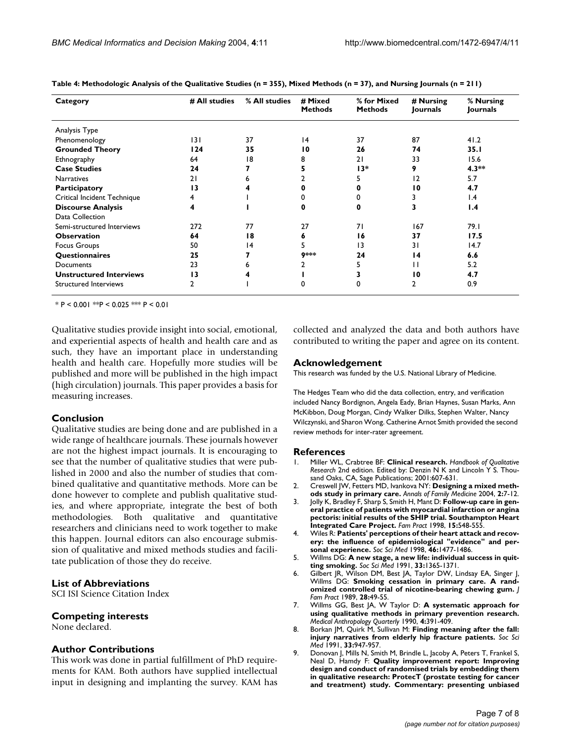| Category                       | # All studies | % All studies | # Mixed<br><b>Methods</b> | % for Mixed<br><b>Methods</b> | # Nursing<br>Journals | % Nursing<br>Journals |
|--------------------------------|---------------|---------------|---------------------------|-------------------------------|-----------------------|-----------------------|
| Analysis Type                  |               |               |                           |                               |                       |                       |
| Phenomenology                  | 3             | 37            | 4                         | 37                            | 87                    | 41.2                  |
| <b>Grounded Theory</b>         | 124           | 35            | $\overline{10}$           | 26                            | 74                    | 35.1                  |
| Ethnography                    | 64            | 18            | 8                         | 21                            | 33                    | 15.6                  |
| <b>Case Studies</b>            | 24            |               |                           | $13*$                         | 9                     | $4.3**$               |
| <b>Narratives</b>              | 21            |               |                           |                               | $\overline{2}$        | 5.7                   |
| Participatory                  | 13            |               |                           |                               | 10                    | 4.7                   |
| Critical Incident Technique    | 4             |               |                           |                               |                       | $\mathsf{I}$ .4       |
| <b>Discourse Analysis</b>      | 4             |               |                           |                               |                       | 1.4                   |
| Data Collection                |               |               |                           |                               |                       |                       |
| Semi-structured Interviews     | 272           | 77            | 27                        | 71                            | 167                   | 79.I                  |
| <b>Observation</b>             | 64            | 18            |                           | 16                            | 37                    | 17.5                  |
| Focus Groups                   | 50            | 4             | 5                         | 13                            | 31                    | 14.7                  |
| <b>Questionnaires</b>          | 25            |               | 9***                      | 24                            | 14                    | 6.6                   |
| Documents                      | 23            |               |                           |                               | П                     | 5.2                   |
| <b>Unstructured Interviews</b> | 13            |               |                           |                               | $\overline{10}$       | 4.7                   |
| Structured Interviews          | 2             |               |                           |                               | 2                     | 0.9                   |

**Table 4: Methodologic Analysis of the Qualitative Studies (n = 355), Mixed Methods (n = 37), and Nursing Journals (n = 211)**

\* P < 0.001 \*\*P < 0.025 \*\*\* P < 0.01

Qualitative studies provide insight into social, emotional, and experiential aspects of health and health care and as such, they have an important place in understanding health and health care. Hopefully more studies will be published and more will be published in the high impact (high circulation) journals. This paper provides a basis for measuring increases.

# **Conclusion**

Qualitative studies are being done and are published in a wide range of healthcare journals. These journals however are not the highest impact journals. It is encouraging to see that the number of qualitative studies that were published in 2000 and also the number of studies that combined qualitative and quantitative methods. More can be done however to complete and publish qualitative studies, and where appropriate, integrate the best of both methodologies. Both qualitative and quantitative researchers and clinicians need to work together to make this happen. Journal editors can also encourage submission of qualitative and mixed methods studies and facilitate publication of those they do receive.

# **List of Abbreviations**

SCI ISI Science Citation Index

# **Competing interests**

None declared.

## **Author Contributions**

This work was done in partial fulfillment of PhD requirements for KAM. Both authors have supplied intellectual input in designing and implanting the survey. KAM has collected and analyzed the data and both authors have contributed to writing the paper and agree on its content.

## **Acknowledgement**

This research was funded by the U.S. National Library of Medicine.

The Hedges Team who did the data collection, entry, and verification included Nancy Bordignon, Angela Eady, Brian Haynes, Susan Marks, Ann McKibbon, Doug Morgan, Cindy Walker Dilks, Stephen Walter, Nancy Wilczynski, and Sharon Wong. Catherine Arnot Smith provided the second review methods for inter-rater agreement.

#### **References**

- 1. Miller WL, Crabtree BF: **Clinical research.** *Handbook of Qualitative Research* 2nd edition. Edited by: Denzin N K and Lincoln Y S. Thousand Oaks, CA, Sage Publications; 2001:607-631.
- 2. Creswell JW, Fetters MD, Ivankova NY: **[Designing a mixed meth](http://www.ncbi.nlm.nih.gov/entrez/query.fcgi?cmd=Retrieve&db=PubMed&dopt=Abstract&list_uids=10.1370/afm.104)[ods study in primary care](http://www.ncbi.nlm.nih.gov/entrez/query.fcgi?cmd=Retrieve&db=PubMed&dopt=Abstract&list_uids=10.1370/afm.104)[.](http://www.ncbi.nlm.nih.gov/entrez/query.fcgi?cmd=Retrieve&db=PubMed&dopt=Abstract&list_uids=15053277)** *Annals of Family Medicine* 2004, **2:**7-12.
- 3. Jolly K, Bradley F, Sharp S, Smith H, Mant D: **[Follow-up care in gen](http://www.ncbi.nlm.nih.gov/entrez/query.fcgi?cmd=Retrieve&db=PubMed&dopt=Abstract&list_uids=10.1093/fampra/15.6.548)eral practice of patients with myocardial infarction or angina [pectoris: initial results of the SHIP trial. Southampton Heart](http://www.ncbi.nlm.nih.gov/entrez/query.fcgi?cmd=Retrieve&db=PubMed&dopt=Abstract&list_uids=10.1093/fampra/15.6.548) [Integrated Care Project](http://www.ncbi.nlm.nih.gov/entrez/query.fcgi?cmd=Retrieve&db=PubMed&dopt=Abstract&list_uids=10.1093/fampra/15.6.548)[.](http://www.ncbi.nlm.nih.gov/entrez/query.fcgi?cmd=Retrieve&db=PubMed&dopt=Abstract&list_uids=10078796)** *Fam Pract* 1998, **15:**548-555.
- 4. Wiles R: **[Patients' perceptions of their heart attack and recov](http://www.ncbi.nlm.nih.gov/entrez/query.fcgi?cmd=Retrieve&db=PubMed&dopt=Abstract&list_uids=10.1016/S0277-9536(97)10140-X)[ery: the influence of epidemiological "evidence" and per](http://www.ncbi.nlm.nih.gov/entrez/query.fcgi?cmd=Retrieve&db=PubMed&dopt=Abstract&list_uids=10.1016/S0277-9536(97)10140-X)[sonal experience](http://www.ncbi.nlm.nih.gov/entrez/query.fcgi?cmd=Retrieve&db=PubMed&dopt=Abstract&list_uids=10.1016/S0277-9536(97)10140-X)[.](http://www.ncbi.nlm.nih.gov/entrez/query.fcgi?cmd=Retrieve&db=PubMed&dopt=Abstract&list_uids=9665577)** *Soc Sci Med* 1998, **46:**1477-1486.
- 5. Willms DG: **[A new stage, a new life: individual success in quit](http://www.ncbi.nlm.nih.gov/entrez/query.fcgi?cmd=Retrieve&db=PubMed&dopt=Abstract&list_uids=10.1016/0277-9536(91)90280-P)[ting smoking](http://www.ncbi.nlm.nih.gov/entrez/query.fcgi?cmd=Retrieve&db=PubMed&dopt=Abstract&list_uids=10.1016/0277-9536(91)90280-P)[.](http://www.ncbi.nlm.nih.gov/entrez/query.fcgi?cmd=Retrieve&db=PubMed&dopt=Abstract&list_uids=1776050)** *Soc Sci Med* 1991, **33:**1365-1371.
- 6. Gilbert JR, Wilson DM, Best JA, Taylor DW, Lindsay EA, Singer J, Willms DG: **[Smoking cessation in primary care. A rand](http://www.ncbi.nlm.nih.gov/entrez/query.fcgi?cmd=Retrieve&db=PubMed&dopt=Abstract&list_uids=2643672)[omized controlled trial of nicotine-bearing chewing gum.](http://www.ncbi.nlm.nih.gov/entrez/query.fcgi?cmd=Retrieve&db=PubMed&dopt=Abstract&list_uids=2643672)** *J Fam Pract* 1989, **28:**49-55.
- 7. Willms GG, Best JA, W Taylor D: **A systematic approach for using qualitative methods in primary prevention research.** *Medical Anthropology Quarterly* 1990, **4:**391-409.
- 8. Borkan JM, Quirk M, Sullivan M: [Finding meaning after the fall:](http://www.ncbi.nlm.nih.gov/entrez/query.fcgi?cmd=Retrieve&db=PubMed&dopt=Abstract&list_uids=10.1016/0277-9536(91)90265-E) **[injury narratives from elderly hip fracture patients](http://www.ncbi.nlm.nih.gov/entrez/query.fcgi?cmd=Retrieve&db=PubMed&dopt=Abstract&list_uids=10.1016/0277-9536(91)90265-E)[.](http://www.ncbi.nlm.nih.gov/entrez/query.fcgi?cmd=Retrieve&db=PubMed&dopt=Abstract&list_uids=1745919)** *Soc Sci Med* 1991, **33:**947-957.
- Donovan J, Mills N, Smith M, Brindle L, Jacoby A, Peters T, Frankel S, Neal D, Hamdy F: **[Quality improvement report: Improving](http://www.ncbi.nlm.nih.gov/entrez/query.fcgi?cmd=Retrieve&db=PubMed&dopt=Abstract&list_uids=10.1136/bmj.325.7367.766) design and conduct of randomised trials by embedding them [in qualitative research: ProtecT \(prostate testing for cancer](http://www.ncbi.nlm.nih.gov/entrez/query.fcgi?cmd=Retrieve&db=PubMed&dopt=Abstract&list_uids=10.1136/bmj.325.7367.766) [and treatment\) study. Commentary: presenting unbiased](http://www.ncbi.nlm.nih.gov/entrez/query.fcgi?cmd=Retrieve&db=PubMed&dopt=Abstract&list_uids=10.1136/bmj.325.7367.766)**